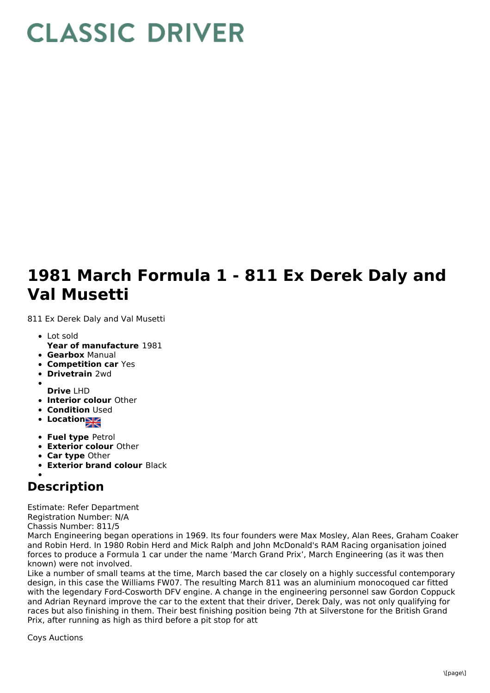## **CLASSIC DRIVER**

## **1981 March Formula 1 - 811 Ex Derek Daly and Val Musetti**

811 Ex Derek Daly and Val Musetti

- Lot sold
- **Year of manufacture** 1981
- **Gearbox** Manual
- **Competition car** Yes
- **Drivetrain** 2wd
- 
- **Drive** LHD **Interior colour** Other
- **Condition Used**
- **Location**
- **Fuel type** Petrol
- **Exterior colour** Other
- **Car type** Other
- **Exterior brand colour** Black

## **Description**

Estimate: Refer Department Registration Number: N/A

Chassis Number: 811/5

March Engineering began operations in 1969. Its four founders were Max Mosley, Alan Rees, Graham Coaker and Robin Herd. In 1980 Robin Herd and Mick Ralph and John McDonald's RAM Racing organisation joined forces to produce a Formula 1 car under the name 'March Grand Prix', March Engineering (as it was then known) were not involved.

Like a number of small teams at the time, March based the car closely on a highly successful contemporary design, in this case the Williams FW07. The resulting March 811 was an aluminium monocoqued car fitted with the legendary Ford-Cosworth DFV engine. A change in the engineering personnel saw Gordon Coppuck and Adrian Reynard improve the car to the extent that their driver, Derek Daly, was not only qualifying for races but also finishing in them. Their best finishing position being 7th at Silverstone for the British Grand Prix, after running as high as third before a pit stop for att

Coys Auctions